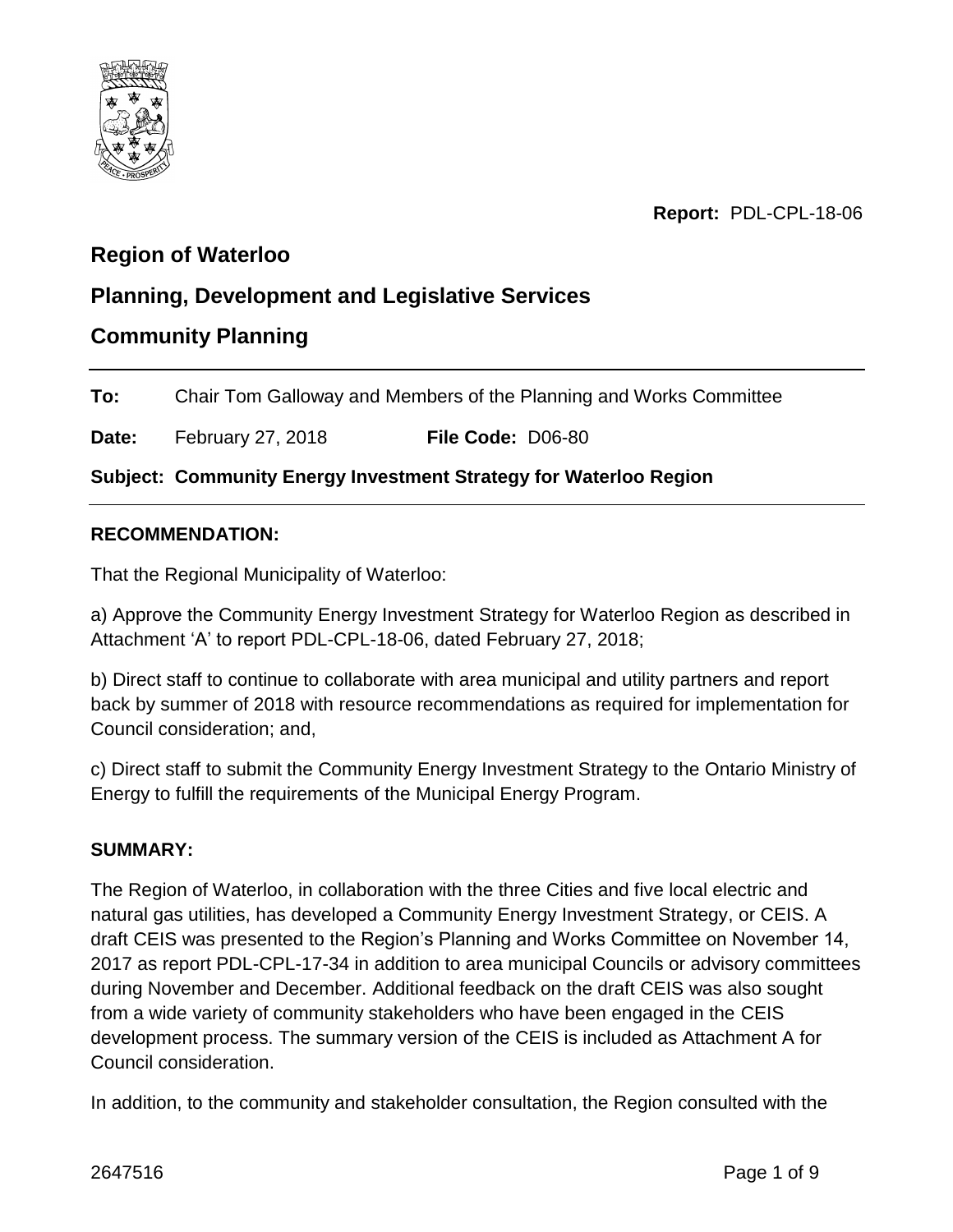

**Report:** PDL-CPL-18-06

## **Region of Waterloo**

## **Planning, Development and Legislative Services**

## **Community Planning**

**To:** Chair Tom Galloway and Members of the Planning and Works Committee

**Date:** February 27, 2018 **File Code:** D06-80

**Subject: Community Energy Investment Strategy for Waterloo Region**

#### **RECOMMENDATION:**

That the Regional Municipality of Waterloo:

a) Approve the Community Energy Investment Strategy for Waterloo Region as described in Attachment 'A' to report PDL-CPL-18-06, dated February 27, 2018;

b) Direct staff to continue to collaborate with area municipal and utility partners and report back by summer of 2018 with resource recommendations as required for implementation for Council consideration; and,

c) Direct staff to submit the Community Energy Investment Strategy to the Ontario Ministry of Energy to fulfill the requirements of the Municipal Energy Program.

#### **SUMMARY:**

The Region of Waterloo, in collaboration with the three Cities and five local electric and natural gas utilities, has developed a Community Energy Investment Strategy, or CEIS. A draft CEIS was presented to the Region's Planning and Works Committee on November 14, 2017 as report PDL-CPL-17-34 in addition to area municipal Councils or advisory committees during November and December. Additional feedback on the draft CEIS was also sought from a wide variety of community stakeholders who have been engaged in the CEIS development process. The summary version of the CEIS is included as Attachment A for Council consideration.

In addition, to the community and stakeholder consultation, the Region consulted with the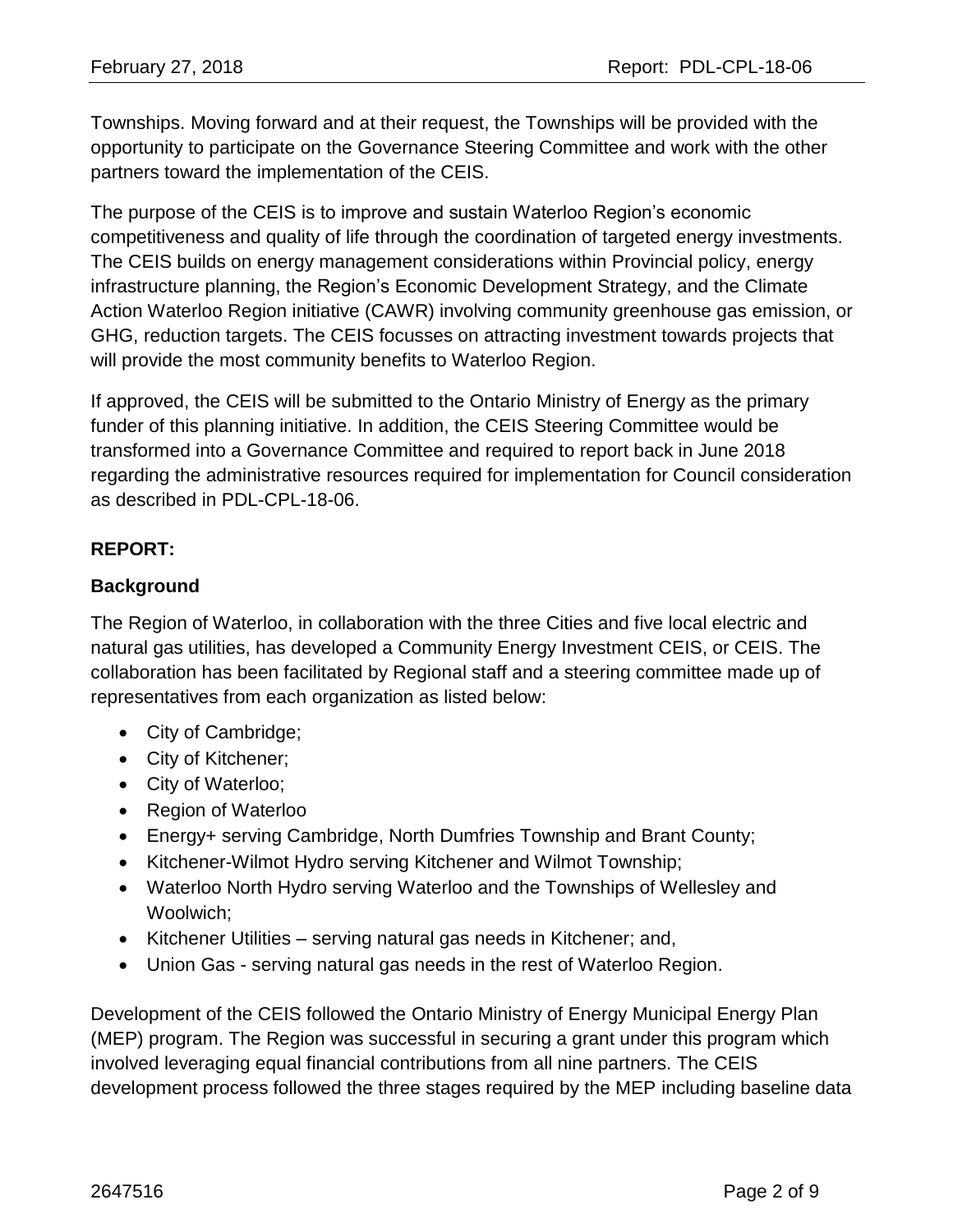Townships. Moving forward and at their request, the Townships will be provided with the opportunity to participate on the Governance Steering Committee and work with the other partners toward the implementation of the CEIS.

The purpose of the CEIS is to improve and sustain Waterloo Region's economic competitiveness and quality of life through the coordination of targeted energy investments. The CEIS builds on energy management considerations within Provincial policy, energy infrastructure planning, the Region's Economic Development Strategy, and the Climate Action Waterloo Region initiative (CAWR) involving community greenhouse gas emission, or GHG, reduction targets. The CEIS focusses on attracting investment towards projects that will provide the most community benefits to Waterloo Region.

If approved, the CEIS will be submitted to the Ontario Ministry of Energy as the primary funder of this planning initiative. In addition, the CEIS Steering Committee would be transformed into a Governance Committee and required to report back in June 2018 regarding the administrative resources required for implementation for Council consideration as described in PDL-CPL-18-06.

## **REPORT:**

#### **Background**

The Region of Waterloo, in collaboration with the three Cities and five local electric and natural gas utilities, has developed a Community Energy Investment CEIS, or CEIS. The collaboration has been facilitated by Regional staff and a steering committee made up of representatives from each organization as listed below:

- City of Cambridge;
- City of Kitchener;
- City of Waterloo;
- Region of Waterloo
- Energy+ serving Cambridge, North Dumfries Township and Brant County;
- Kitchener-Wilmot Hydro serving Kitchener and Wilmot Township;
- Waterloo North Hydro serving Waterloo and the Townships of Wellesley and Woolwich;
- Kitchener Utilities serving natural gas needs in Kitchener; and,
- Union Gas serving natural gas needs in the rest of Waterloo Region.

Development of the CEIS followed the Ontario Ministry of Energy Municipal Energy Plan (MEP) program. The Region was successful in securing a grant under this program which involved leveraging equal financial contributions from all nine partners. The CEIS development process followed the three stages required by the MEP including baseline data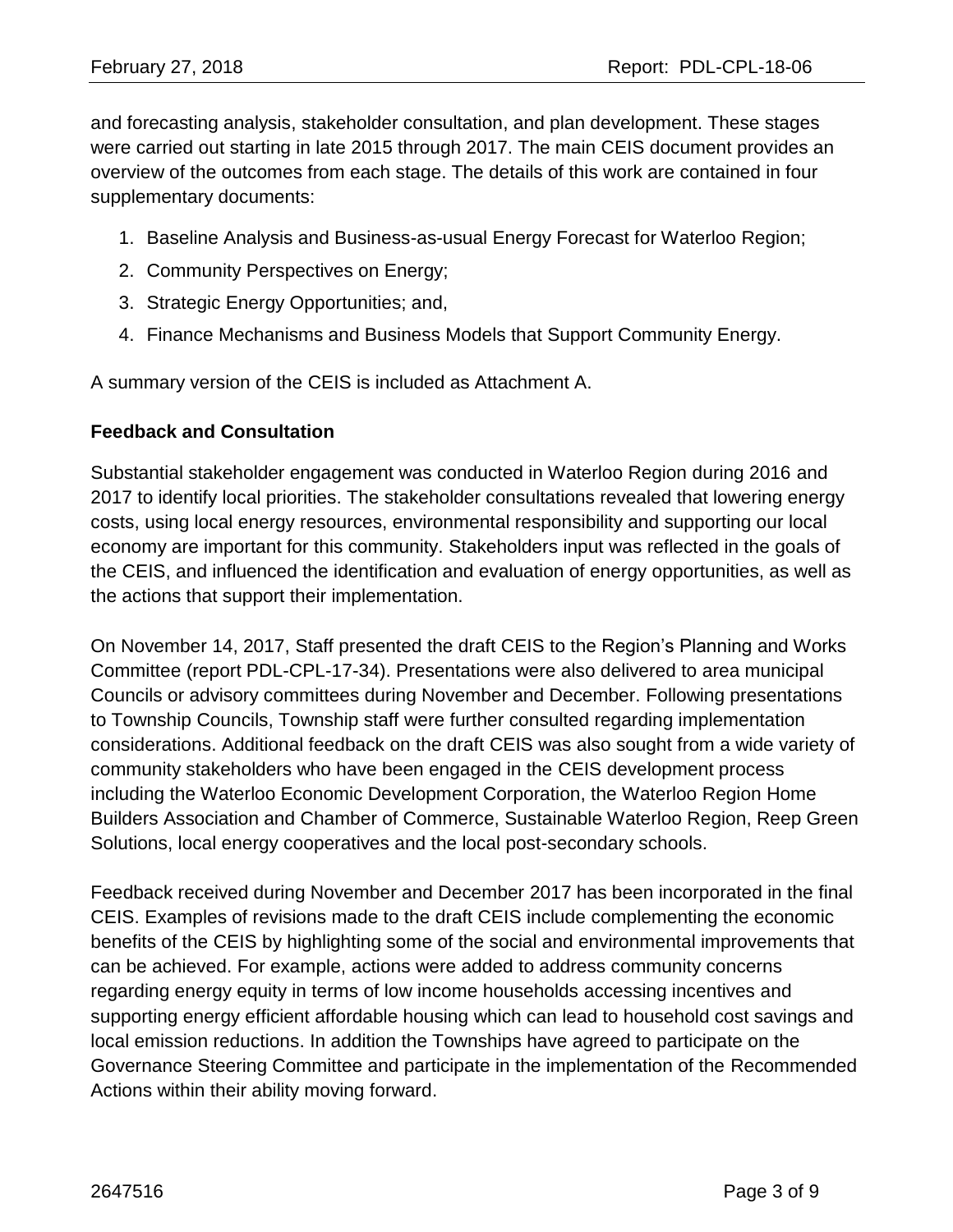and forecasting analysis, stakeholder consultation, and plan development. These stages were carried out starting in late 2015 through 2017. The main CEIS document provides an overview of the outcomes from each stage. The details of this work are contained in four supplementary documents:

- 1. Baseline Analysis and Business-as-usual Energy Forecast for Waterloo Region;
- 2. Community Perspectives on Energy;
- 3. Strategic Energy Opportunities; and,
- 4. Finance Mechanisms and Business Models that Support Community Energy.

A summary version of the CEIS is included as Attachment A.

#### **Feedback and Consultation**

Substantial stakeholder engagement was conducted in Waterloo Region during 2016 and 2017 to identify local priorities. The stakeholder consultations revealed that lowering energy costs, using local energy resources, environmental responsibility and supporting our local economy are important for this community. Stakeholders input was reflected in the goals of the CEIS, and influenced the identification and evaluation of energy opportunities, as well as the actions that support their implementation.

On November 14, 2017, Staff presented the draft CEIS to the Region's Planning and Works Committee (report PDL-CPL-17-34). Presentations were also delivered to area municipal Councils or advisory committees during November and December. Following presentations to Township Councils, Township staff were further consulted regarding implementation considerations. Additional feedback on the draft CEIS was also sought from a wide variety of community stakeholders who have been engaged in the CEIS development process including the Waterloo Economic Development Corporation, the Waterloo Region Home Builders Association and Chamber of Commerce, Sustainable Waterloo Region, Reep Green Solutions, local energy cooperatives and the local post-secondary schools.

Feedback received during November and December 2017 has been incorporated in the final CEIS. Examples of revisions made to the draft CEIS include complementing the economic benefits of the CEIS by highlighting some of the social and environmental improvements that can be achieved. For example, actions were added to address community concerns regarding energy equity in terms of low income households accessing incentives and supporting energy efficient affordable housing which can lead to household cost savings and local emission reductions. In addition the Townships have agreed to participate on the Governance Steering Committee and participate in the implementation of the Recommended Actions within their ability moving forward.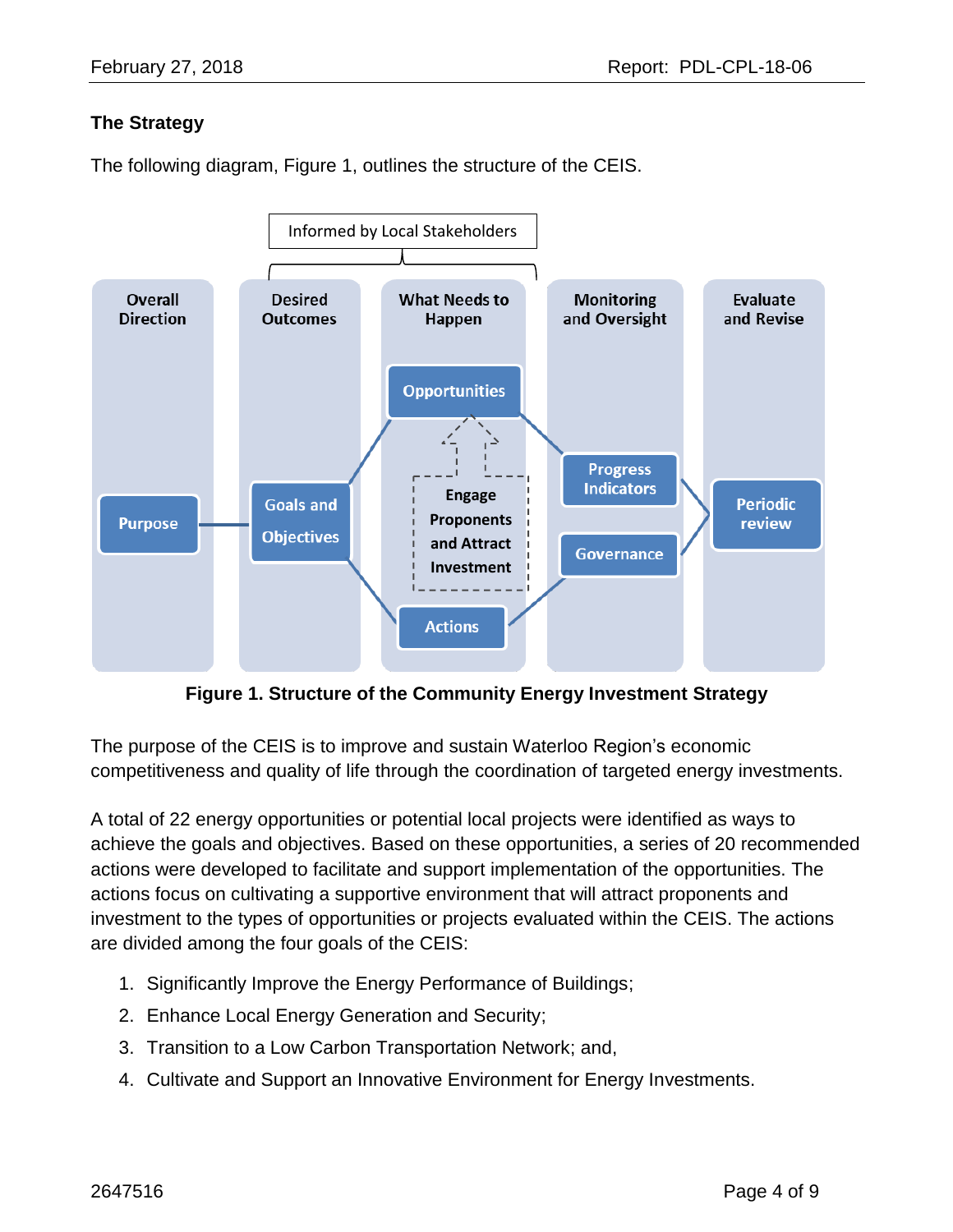#### **The Strategy**

The following diagram, Figure 1, outlines the structure of the CEIS.



**Figure 1. Structure of the Community Energy Investment Strategy**

The purpose of the CEIS is to improve and sustain Waterloo Region's economic competitiveness and quality of life through the coordination of targeted energy investments.

A total of 22 energy opportunities or potential local projects were identified as ways to achieve the goals and objectives. Based on these opportunities, a series of 20 recommended actions were developed to facilitate and support implementation of the opportunities. The actions focus on cultivating a supportive environment that will attract proponents and investment to the types of opportunities or projects evaluated within the CEIS. The actions are divided among the four goals of the CEIS:

- 1. Significantly Improve the Energy Performance of Buildings;
- 2. Enhance Local Energy Generation and Security;
- 3. Transition to a Low Carbon Transportation Network; and,
- 4. Cultivate and Support an Innovative Environment for Energy Investments.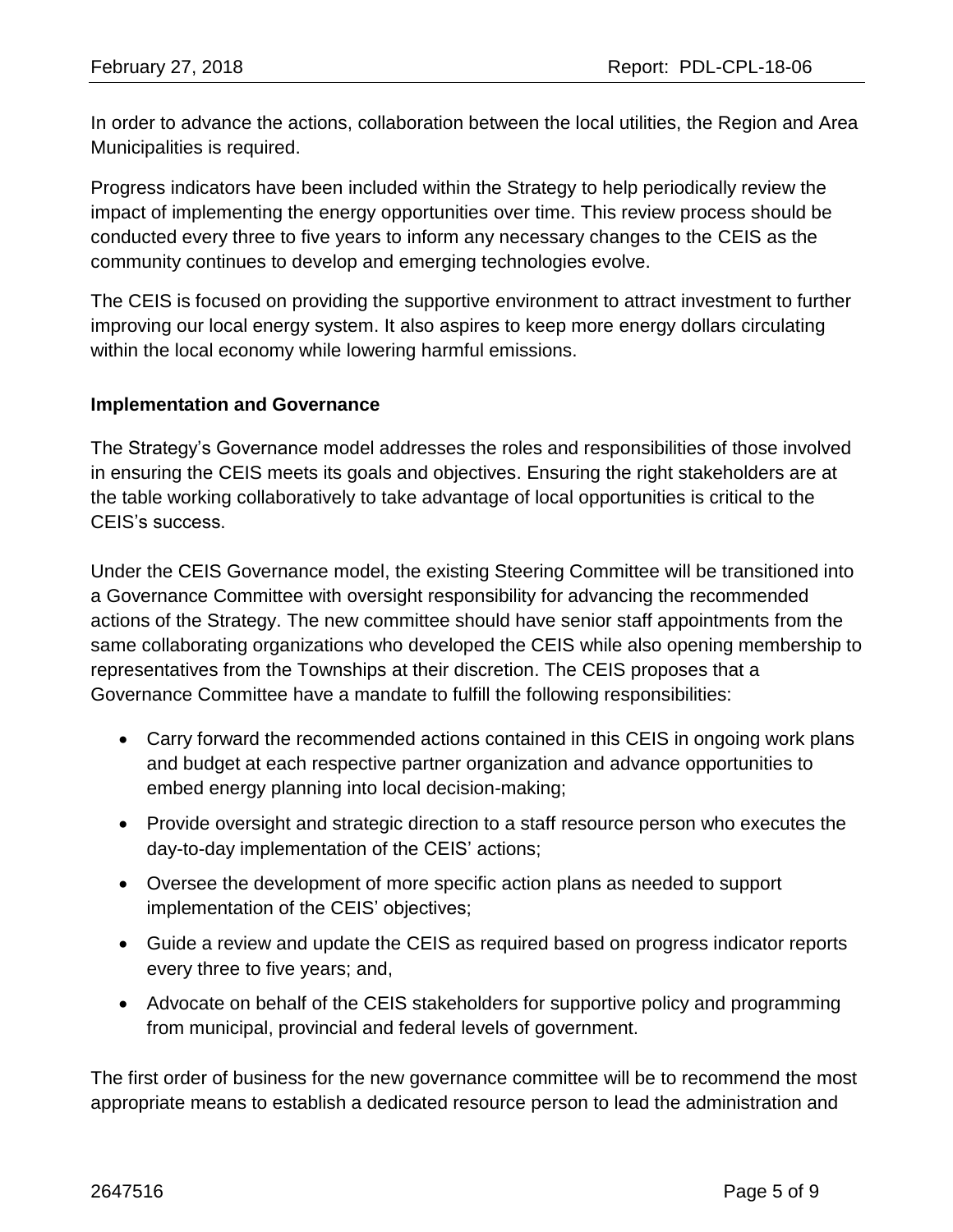In order to advance the actions, collaboration between the local utilities, the Region and Area Municipalities is required.

Progress indicators have been included within the Strategy to help periodically review the impact of implementing the energy opportunities over time. This review process should be conducted every three to five years to inform any necessary changes to the CEIS as the community continues to develop and emerging technologies evolve.

The CEIS is focused on providing the supportive environment to attract investment to further improving our local energy system. It also aspires to keep more energy dollars circulating within the local economy while lowering harmful emissions.

#### **Implementation and Governance**

The Strategy's Governance model addresses the roles and responsibilities of those involved in ensuring the CEIS meets its goals and objectives. Ensuring the right stakeholders are at the table working collaboratively to take advantage of local opportunities is critical to the CEIS's success.

Under the CEIS Governance model, the existing Steering Committee will be transitioned into a Governance Committee with oversight responsibility for advancing the recommended actions of the Strategy. The new committee should have senior staff appointments from the same collaborating organizations who developed the CEIS while also opening membership to representatives from the Townships at their discretion. The CEIS proposes that a Governance Committee have a mandate to fulfill the following responsibilities:

- Carry forward the recommended actions contained in this CEIS in ongoing work plans and budget at each respective partner organization and advance opportunities to embed energy planning into local decision-making;
- Provide oversight and strategic direction to a staff resource person who executes the day-to-day implementation of the CEIS' actions;
- Oversee the development of more specific action plans as needed to support implementation of the CEIS' objectives;
- Guide a review and update the CEIS as required based on progress indicator reports every three to five years; and,
- Advocate on behalf of the CEIS stakeholders for supportive policy and programming from municipal, provincial and federal levels of government.

The first order of business for the new governance committee will be to recommend the most appropriate means to establish a dedicated resource person to lead the administration and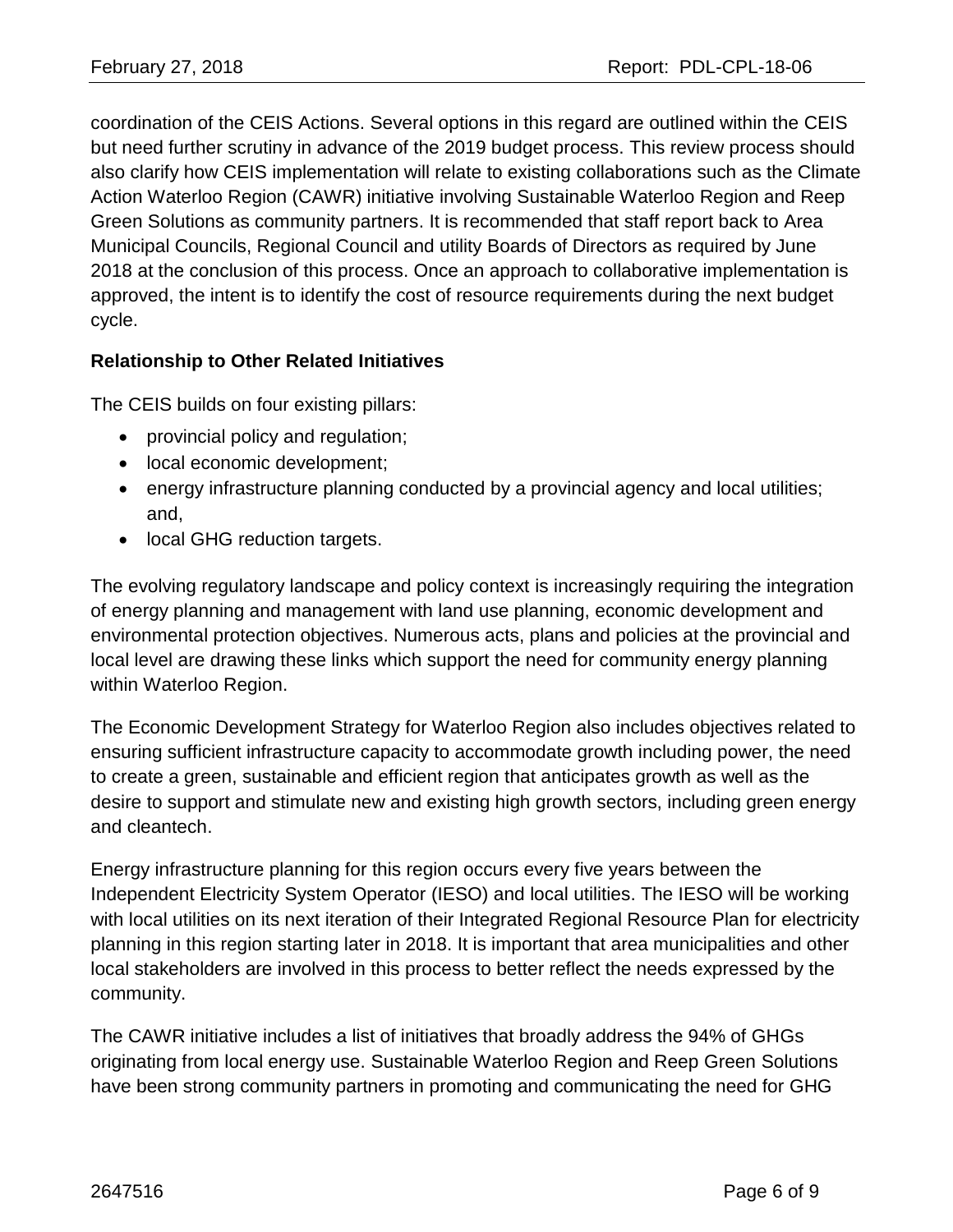coordination of the CEIS Actions. Several options in this regard are outlined within the CEIS but need further scrutiny in advance of the 2019 budget process. This review process should also clarify how CEIS implementation will relate to existing collaborations such as the Climate Action Waterloo Region (CAWR) initiative involving Sustainable Waterloo Region and Reep Green Solutions as community partners. It is recommended that staff report back to Area Municipal Councils, Regional Council and utility Boards of Directors as required by June 2018 at the conclusion of this process. Once an approach to collaborative implementation is approved, the intent is to identify the cost of resource requirements during the next budget cycle.

#### **Relationship to Other Related Initiatives**

The CEIS builds on four existing pillars:

- provincial policy and regulation;
- local economic development;
- energy infrastructure planning conducted by a provincial agency and local utilities; and,
- local GHG reduction targets.

The evolving regulatory landscape and policy context is increasingly requiring the integration of energy planning and management with land use planning, economic development and environmental protection objectives. Numerous acts, plans and policies at the provincial and local level are drawing these links which support the need for community energy planning within Waterloo Region.

The Economic Development Strategy for Waterloo Region also includes objectives related to ensuring sufficient infrastructure capacity to accommodate growth including power, the need to create a green, sustainable and efficient region that anticipates growth as well as the desire to support and stimulate new and existing high growth sectors, including green energy and cleantech.

Energy infrastructure planning for this region occurs every five years between the Independent Electricity System Operator (IESO) and local utilities. The IESO will be working with local utilities on its next iteration of their Integrated Regional Resource Plan for electricity planning in this region starting later in 2018. It is important that area municipalities and other local stakeholders are involved in this process to better reflect the needs expressed by the community.

The CAWR initiative includes a list of initiatives that broadly address the 94% of GHGs originating from local energy use. Sustainable Waterloo Region and Reep Green Solutions have been strong community partners in promoting and communicating the need for GHG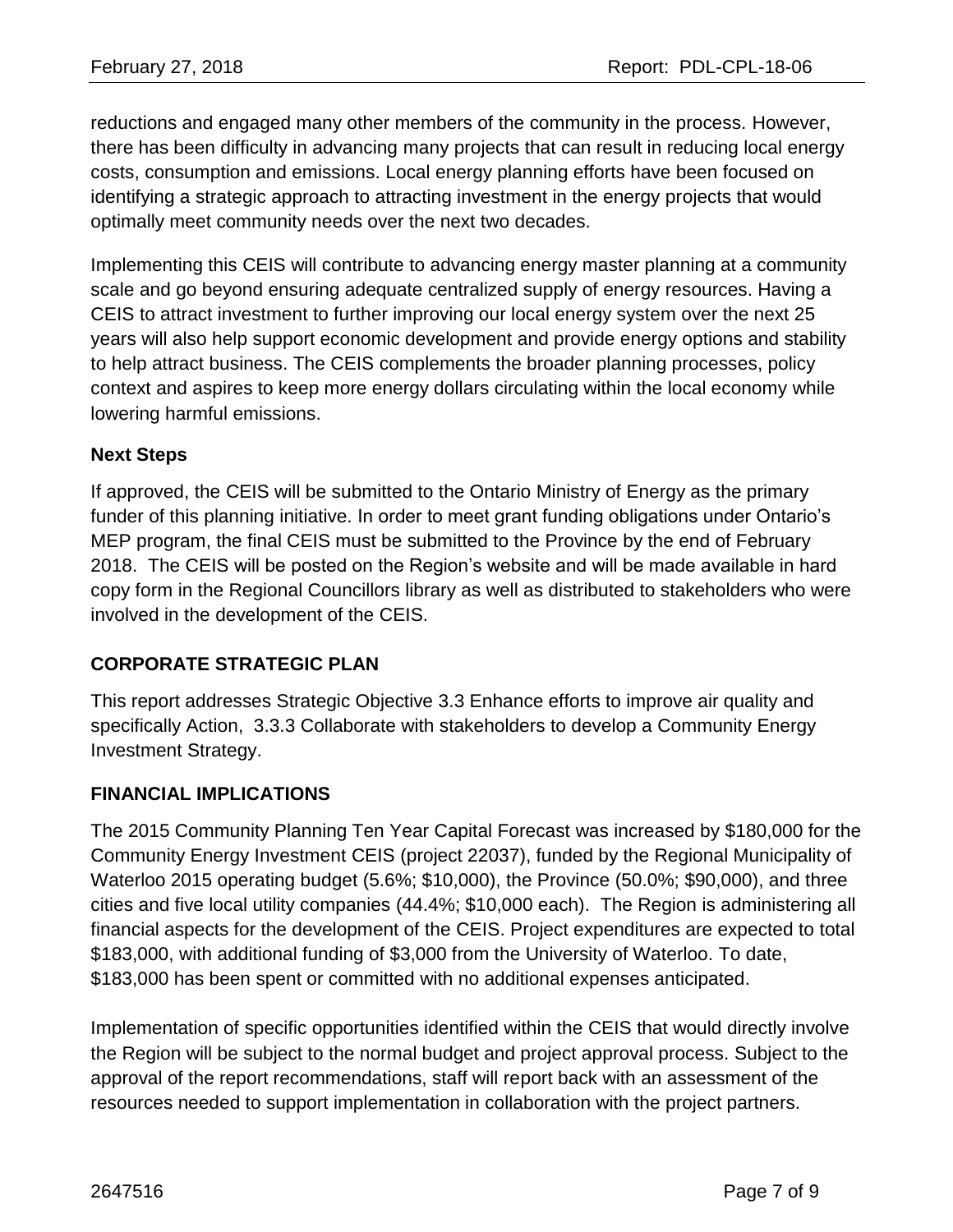reductions and engaged many other members of the community in the process. However, there has been difficulty in advancing many projects that can result in reducing local energy costs, consumption and emissions. Local energy planning efforts have been focused on identifying a strategic approach to attracting investment in the energy projects that would optimally meet community needs over the next two decades.

Implementing this CEIS will contribute to advancing energy master planning at a community scale and go beyond ensuring adequate centralized supply of energy resources. Having a CEIS to attract investment to further improving our local energy system over the next 25 years will also help support economic development and provide energy options and stability to help attract business. The CEIS complements the broader planning processes, policy context and aspires to keep more energy dollars circulating within the local economy while lowering harmful emissions.

#### **Next Steps**

If approved, the CEIS will be submitted to the Ontario Ministry of Energy as the primary funder of this planning initiative. In order to meet grant funding obligations under Ontario's MEP program, the final CEIS must be submitted to the Province by the end of February 2018. The CEIS will be posted on the Region's website and will be made available in hard copy form in the Regional Councillors library as well as distributed to stakeholders who were involved in the development of the CEIS.

## **CORPORATE STRATEGIC PLAN**

This report addresses Strategic Objective 3.3 Enhance efforts to improve air quality and specifically Action, 3.3.3 Collaborate with stakeholders to develop a Community Energy Investment Strategy.

## **FINANCIAL IMPLICATIONS**

The 2015 Community Planning Ten Year Capital Forecast was increased by \$180,000 for the Community Energy Investment CEIS (project 22037), funded by the Regional Municipality of Waterloo 2015 operating budget (5.6%; \$10,000), the Province (50.0%; \$90,000), and three cities and five local utility companies (44.4%; \$10,000 each). The Region is administering all financial aspects for the development of the CEIS. Project expenditures are expected to total \$183,000, with additional funding of \$3,000 from the University of Waterloo. To date, \$183,000 has been spent or committed with no additional expenses anticipated.

Implementation of specific opportunities identified within the CEIS that would directly involve the Region will be subject to the normal budget and project approval process. Subject to the approval of the report recommendations, staff will report back with an assessment of the resources needed to support implementation in collaboration with the project partners.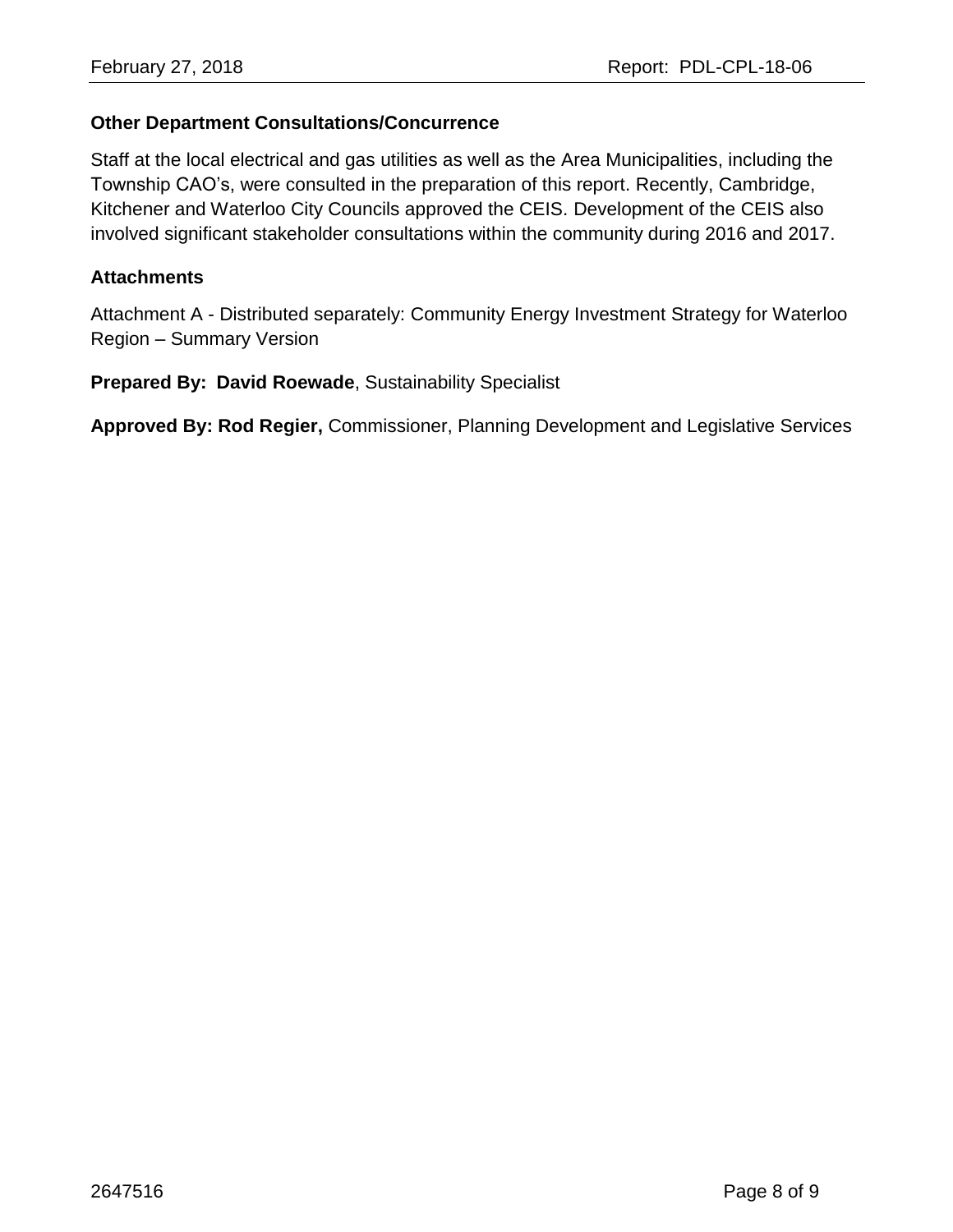#### **Other Department Consultations/Concurrence**

Staff at the local electrical and gas utilities as well as the Area Municipalities, including the Township CAO's, were consulted in the preparation of this report. Recently, Cambridge, Kitchener and Waterloo City Councils approved the CEIS. Development of the CEIS also involved significant stakeholder consultations within the community during 2016 and 2017.

#### **Attachments**

Attachment A - Distributed separately: Community Energy Investment Strategy for Waterloo Region – Summary Version

**Prepared By: David Roewade**, Sustainability Specialist

**Approved By: Rod Regier,** Commissioner, Planning Development and Legislative Services